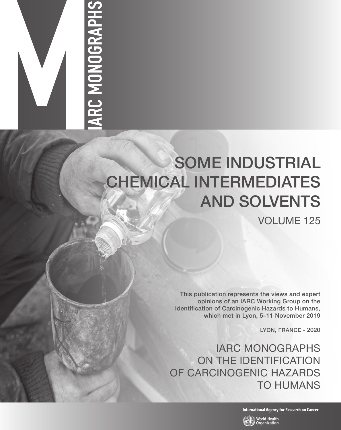# ARC MONOGRAPHS

# SOME INDUSTRIAL CHEMICAL INTERMEDIATES AND SOLVENTS

VOLUME 125

This publication represents the views and expert opinions of an IARC Working Group on the Identification of Carcinogenic Hazards to Humans, which met in Lyon, 5–11 November 2019

LYON, FRANCE - 2020

IARC MONOGRAPHS ON THE IDENTIFICATION OF CARCINOGENIC HAZARDS TO HUMANS

**International Agency for Research on Cancer** 

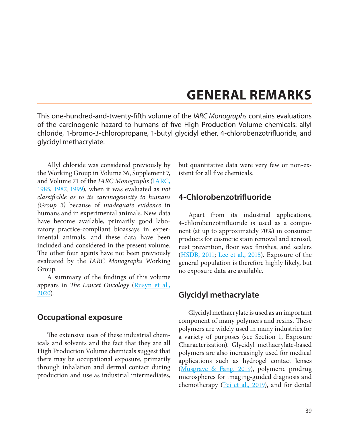## **GENERAL REMARKS**

This one-hundred-and-twenty-fifth volume of the *IARC Monographs* contains evaluations of the carcinogenic hazard to humans of five High Production Volume chemicals: allyl chloride, 1-bromo-3-chloropropane, 1-butyl glycidyl ether, 4-chlorobenzotrifluoride, and glycidyl methacrylate.

Allyl chloride was considered previously by the Working Group in Volume 36, Supplement 7, and Volume 71 of the *IARC Monographs* ([IARC,](#page-2-0)  [1985,](#page-2-0) [1987,](#page-2-1) [1999\)](#page-2-2), when it was evaluated as *not classifiable as to its carcinogenicity to humans (Group 3)* because of *inadequate evidence* in humans and in experimental animals. New data have become available, primarily good laboratory practice-compliant bioassays in experimental animals, and these data have been included and considered in the present volume. The other four agents have not been previously evaluated by the *IARC Monographs* Working Group.

A summary of the findings of this volume appears in *The Lancet Oncology* [\(Rusyn et al.,](#page-2-3)  [2020\)](#page-2-3)*.*

### **Occupational exposure**

The extensive uses of these industrial chemicals and solvents and the fact that they are all High Production Volume chemicals suggest that there may be occupational exposure, primarily through inhalation and dermal contact during production and use as industrial intermediates,

but quantitative data were very few or non-existent for all five chemicals.

### **4-Chlorobenzotrifluoride**

Apart from its industrial applications, 4-chlorobenzotrifluoride is used as a component (at up to approximately 70%) in consumer products for cosmetic stain removal and aerosol, rust prevention, floor wax finishes, and sealers ([HSDB, 2011](#page-2-4); [Lee et al., 2015\)](#page-2-5). Exposure of the general population is therefore highly likely, but no exposure data are available.

### **Glycidyl methacrylate**

Glycidyl methacrylate is used as an important component of many polymers and resins. These polymers are widely used in many industries for a variety of purposes (see Section 1, Exposure Characterization). Glycidyl methacrylate-based polymers are also increasingly used for medical applications such as hydrogel contact lenses ([Musgrave & Fang, 2019](#page-2-6)), polymeric prodrug microspheres for imaging-guided diagnosis and chemotherapy [\(Pei et al., 2019\)](#page-2-3), and for dental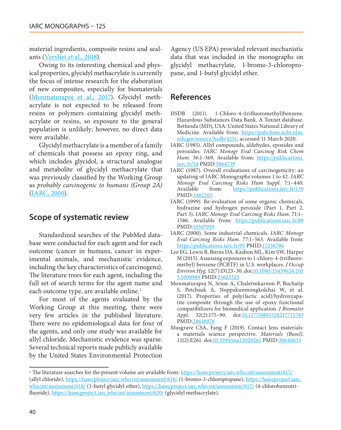material ingredients, composite resins and sealants [\(Vervliet et al., 2018\)](#page-3-0).

Owing to its interesting chemical and physical properties, glycidyl methacrylate is currently the focus of intense research for the elaboration of new composites, especially for biomaterials [\(Monmaturapoj et al., 2017](#page-2-7)). Glycidyl methacrylate is not expected to be released from resins or polymers containing glycidyl methacrylate or resins, so exposure to the general population is unlikely; however, no direct data were available.

Glycidyl methacrylate is a member of a family of chemicals that possess an epoxy ring, and which includes glycidol, a structural analogue and metabolite of glycidyl methacrylate that was previously classified by the Working Group as *probably carcinogenic to humans (Group 2A)* [\(IARC, 2000\)](#page-2-8).

### **Scope of systematic review**

Standardized searches of the PubMed database were conducted for each agent and for each outcome (cancer in humans, cancer in experimental animals, and mechanistic evidence, including the key characteristics of carcinogens). The literature trees for each agent, including the full set of search terms for the agent name and each outcome type, are available online.<sup>1</sup>

For most of the agents evaluated by the Working Group at this meeting, there were very few articles in the published literature. There were no epidemiological data for four of the agents, and only one study was available for allyl chloride. Mechanistic evidence was sparse. Several technical reports made publicly available by the United States Environmental Protection

Agency (US EPA) provided relevant mechanistic data that was included in the monographs on glycidyl methacrylate, 1-bromo-3-chloropropane, and 1-butyl glycidyl ether.

### **References**

- <span id="page-2-4"></span>HSDB (2011). 1-Chloro-4-(trifluoromethyl)benzene. Hazardous Substances Data Bank. A Toxnet database. Bethesda (MD), USA: United States National Library of Medicine. Available from: [https://pubchem.ncbi.nlm.](https://pubchem.ncbi.nlm.nih.gov/source/hsdb/4251) [nih.gov/source/hsdb/4251,](https://pubchem.ncbi.nlm.nih.gov/source/hsdb/4251) accessed 11 March 2020.
- <span id="page-2-0"></span>IARC (1985). Allyl compounds, aldehydes, epoxides and peroxides. *IARC Monogr Eval Carcinog Risk Chem*  Hum. 36:1-369. Available from: [https://publications.](http://publications.iarc.fr/54) [iarc.fr/54](http://publications.iarc.fr/54) PMID:[3864739](http://www.ncbi.nlm.nih.gov/pubmed/3864739)
- <span id="page-2-1"></span>IARC (1987). Overall evaluations of carcinogenicity: an updating of IARC Monographs volumes 1 to 42. *IARC Monogr Eval Carcinog Risks Hum Suppl.* 7:1–440. Available from: [https://publications.iarc.fr/139](http://publications.iarc.fr/139) PMID:[3482203](http://www.ncbi.nlm.nih.gov/pubmed/3482203)
- <span id="page-2-2"></span>IARC (1999). Re-evaluation of some organic chemicals, hydrazine and hydrogen peroxide (Part 1, Part 2, Part 3). *IARC Monogr Eval Carcinog Risks Hum*. 71:1– 1586. Available from: [https://publications.iarc.fr/89](http://publications.iarc.fr/89) PMID[:10507919](http://www.ncbi.nlm.nih.gov/pubmed/10507919)
- <span id="page-2-8"></span>IARC (2000). Some industrial chemicals. *IARC Monogr Eval Carcinog Risks Hum*. 77:1–563. Available from: [https://publications.iarc.fr/95](http://publications.iarc.fr/95) PMID[:11236796](http://www.ncbi.nlm.nih.gov/pubmed/11236796)
- <span id="page-2-5"></span>Lee EG, Lewis B, Burns DA, Kashon ML, Kim SW, Harper M (2015). Assessing exposures to 1-chloro-4-(trifluoromethyl) benzene (PCBTF) in U.S. workplaces. *J Occup Environ Hyg*. 12(7):D123–30. doi[:10.1080/15459624.201](http://dx.doi.org/10.1080/15459624.2015.1009989) [5.1009989](http://dx.doi.org/10.1080/15459624.2015.1009989) PMID:[25625325](http://www.ncbi.nlm.nih.gov/pubmed/25625325)
- <span id="page-2-7"></span>Monmaturapoj N, Srion A, Chalermkarnon P, Buchatip S, Petchsuk A, Noppakunmongkolchai W, et al. (2017). Properties of poly(lactic acid)/hydroxyapatite composite through the use of epoxy functional compatibilizers for biomedical application. *J Biomater*  Appl. 32(2):175-90. doi[:10.1177/0885328217715783](http://dx.doi.org/10.1177/0885328217715783) PMID:[28618978](http://www.ncbi.nlm.nih.gov/pubmed/28618978)
- <span id="page-2-6"></span><span id="page-2-3"></span>Musgrave CSA, Fang F (2019). Contact lens materials: a materials science perspective. *Materials (Basel)*. 12(2):E261. doi[:10.3390/ma12020261](http://dx.doi.org/10.3390/ma12020261) PMID[:30646633](http://www.ncbi.nlm.nih.gov/pubmed/30646633)

<sup>&</sup>lt;sup>1</sup> The literature searches for the present volume are available from: <https://hawcproject.iarc.who.int/assessment/615/> (allyl chloride), https://hawcproject.iarc.who.int/assessment/616/ (1-bromo-3-chloropropane), https://hawcproject.iarc. who.int/assessment/618/ (1-butyl glycidyl ether), https://hawcproject.iarc.who.int/assessment/617/ (4-chlorobenzotrifluoride), https://hawcproject.iarc.who.int/assessment/620/ (glycidyl methacrylate).